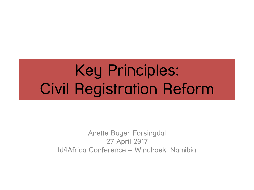# Key Principles: Civil Registration Reform

Anette Bayer Forsingdal 27 April 2017 Id4Africa Conference – Windhoek, Namibia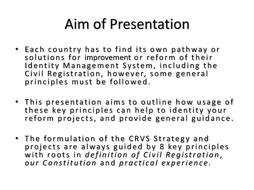# **Aim of Presentation**

- Each country has to find its own pathway or solutions for improvement or reform of their Identity Management System, including the Civil Registration, however, some general principles must be followed.
- This presentation aims to outline how usage of these key principles can help to identity your reform projects, and provide general guidance.
- The formulation of the CRVS Strategy and projects are always guided by 8 key principles with roots in definition of Civil Registration, our Constitution and practical experience.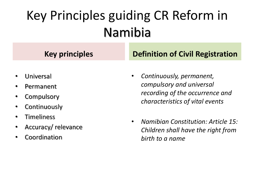## Key Principles guiding CR Reform in **Namibia**

- Universal
- Permanent
- Compulsory
- Continuously
- **Timeliness**
- Accuracy/relevance
- Coordination

## **Key principles Definition of Civil Registration**

- *Continuously, permanent, compulsory and universal recording of the occurrence and characteristics of vital events*
- *Namibian Constitution: Article 15: Children shall have the right from birth to a name*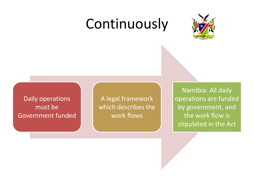## Continuously



Daily operations Government funded

must be a set of the which describes the set of the py government A legal framework work flows

Namibia: All daily operations are funded by government, and the work flow is stipulated in the Act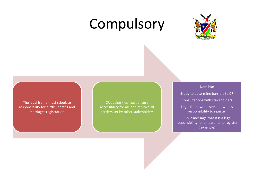## Compulsory



The legal frame must stipulate responsibility for births, deaths and marriages registration

CR authorities must ensure accessibility for all, and remove all barriers set by other stakeholders

## Namibia:

Study to determine barriers to CR Consultations with stakeholders Legal framework sets out who is responsibility to register Public message that it is a legal responsibility for all parents to register

( example)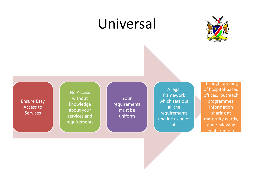## Universal



Ensure Easy Access to **Services** 

No Access without about your services and **the author of the services** and requirements

knowledge **in requirements** 

Your **Contract of Service State**  $\begin{array}{c} \text{quiverations} \\ \text{must be} \end{array}$  all the uniform which sets out requirements and inclusion of **All and inclusion** maternity ward all

A legal and a loop of hospital-based framework **offices**, outreach all the some of the information of the solution of the solution of the solution of the solution of the solutio through opening programmes, sharing at maternity wards, and reviewing legal frame to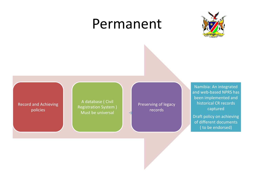## Permanent



Record and Achieving policies

A database ( Civil Registration System ) Must be universal

Preserving of legacy **records** 

Namibia: An integrated and web-based NPRS has been implemented and historical CR records captured

Draft policy on achieving of different documents ( to be endorsed)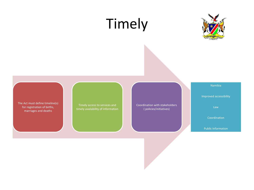## Timely



The Act must define timeline(s) for registration of births,

Let must define directingly<br>
Timely availability of information and the coordination with stakeholders<br>
marriages and deaths ( policies/initiatives)

## Namibia

Improved accessibility

Law

Coordination

Public Information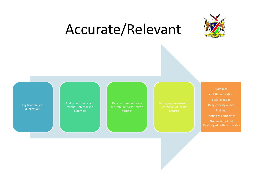## Accurate/Relevant



Digitisation (less duplication)

manual, internal and

Data captured not only accurate, but also serve a purpose

e-birth notification Build-in audits **Training** Printing of certificates Phasing out of old ID/abridged birth certificates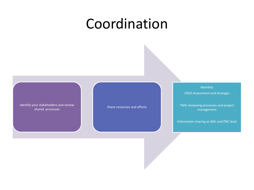## Coordination

Identify your stakeholders and review shared processes

Share resources and efforts

Namibia:

CRVS Assessment and Strategic

TWG reviewing processes and project management

Information sharing at ANC and PNC level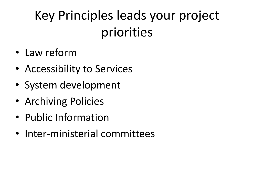## Key Principles leads your project priorities

- Law reform
- Accessibility to Services
- System development
- Archiving Policies
- Public Information
- Inter-ministerial committees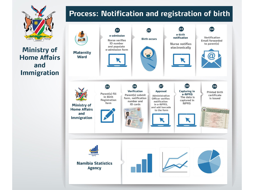

**Ministry of Home Affairs** and **Immigration** 

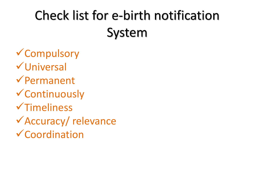## Check list for e-birth notification System

 $\checkmark$  Compulsory  $V$ Universal  $\sqrt{$ Permanent  $\checkmark$  Continuously  $\sqrt{\text{Time}}$  $\sqrt{\text{Accuracy}}$  relevance  $\checkmark$  Coordination